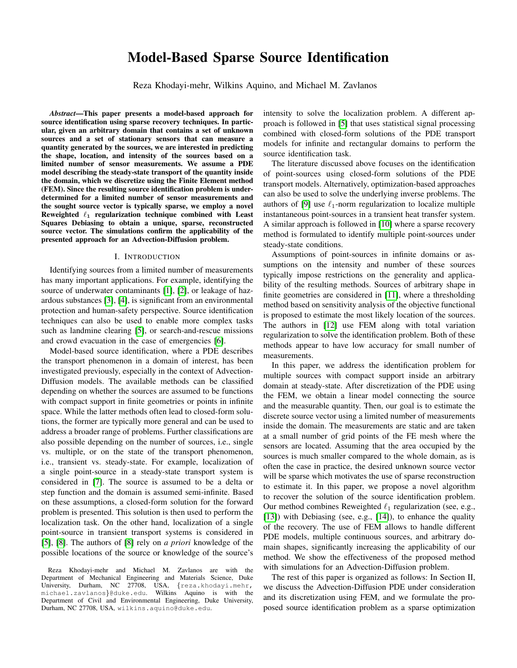# Model-Based Sparse Source Identification

Reza Khodayi-mehr, Wilkins Aquino, and Michael M. Zavlanos

*Abstract*—This paper presents a model-based approach for source identification using sparse recovery techniques. In particular, given an arbitrary domain that contains a set of unknown sources and a set of stationary sensors that can measure a quantity generated by the sources, we are interested in predicting the shape, location, and intensity of the sources based on a limited number of sensor measurements. We assume a PDE model describing the steady-state transport of the quantity inside the domain, which we discretize using the Finite Element method (FEM). Since the resulting source identification problem is underdetermined for a limited number of sensor measurements and the sought source vector is typically sparse, we employ a novel Reweighted  $\ell_1$  regularization technique combined with Least Squares Debiasing to obtain a unique, sparse, reconstructed source vector. The simulations confirm the applicability of the presented approach for an Advection-Diffusion problem.

## I. INTRODUCTION

Identifying sources from a limited number of measurements has many important applications. For example, identifying the source of underwater contaminants [\[1\]](#page-5-0), [\[2\]](#page-5-1), or leakage of hazardous substances [\[3\]](#page-5-2), [\[4\]](#page-5-3), is significant from an environmental protection and human-safety perspective. Source identification techniques can also be used to enable more complex tasks such as landmine clearing [\[5\]](#page-5-4), or search-and-rescue missions and crowd evacuation in the case of emergencies [\[6\]](#page-5-5).

Model-based source identification, where a PDE describes the transport phenomenon in a domain of interest, has been investigated previously, especially in the context of Advection-Diffusion models. The available methods can be classified depending on whether the sources are assumed to be functions with compact support in finite geometries or points in infinite space. While the latter methods often lead to closed-form solutions, the former are typically more general and can be used to address a broader range of problems. Further classifications are also possible depending on the number of sources, i.e., single vs. multiple, or on the state of the transport phenomenon, i.e., transient vs. steady-state. For example, localization of a single point-source in a steady-state transport system is considered in [\[7\]](#page-5-6). The source is assumed to be a delta or step function and the domain is assumed semi-infinite. Based on these assumptions, a closed-form solution for the forward problem is presented. This solution is then used to perform the localization task. On the other hand, localization of a single point-source in transient transport systems is considered in [\[5\]](#page-5-4), [\[8\]](#page-5-7). The authors of [\[8\]](#page-5-7) rely on *a priori* knowledge of the possible locations of the source or knowledge of the source's

Reza Khodayi-mehr and Michael M. Zavlanos are with the Department of Mechanical Engineering and Materials Science, Duke University, Durham, NC 27708, USA, {reza.khodayi.mehr, michael.zavlanos}@duke.edu. Wilkins Aquino is with the Department of Civil and Environmental Engineering, Duke University, Durham, NC 27708, USA, wilkins.aquino@duke.edu.

intensity to solve the localization problem. A different approach is followed in [\[5\]](#page-5-4) that uses statistical signal processing combined with closed-form solutions of the PDE transport models for infinite and rectangular domains to perform the source identification task.

The literature discussed above focuses on the identification of point-sources using closed-form solutions of the PDE transport models. Alternatively, optimization-based approaches can also be used to solve the underlying inverse problems. The authors of [\[9\]](#page-5-8) use  $\ell_1$ -norm regularization to localize multiple instantaneous point-sources in a transient heat transfer system. A similar approach is followed in [\[10\]](#page-5-9) where a sparse recovery method is formulated to identify multiple point-sources under steady-state conditions.

Assumptions of point-sources in infinite domains or assumptions on the intensity and number of these sources typically impose restrictions on the generality and applicability of the resulting methods. Sources of arbitrary shape in finite geometries are considered in [\[11\]](#page-5-10), where a thresholding method based on sensitivity analysis of the objective functional is proposed to estimate the most likely location of the sources. The authors in [\[12\]](#page-5-11) use FEM along with total variation regularization to solve the identification problem. Both of these methods appear to have low accuracy for small number of measurements.

In this paper, we address the identification problem for multiple sources with compact support inside an arbitrary domain at steady-state. After discretization of the PDE using the FEM, we obtain a linear model connecting the source and the measurable quantity. Then, our goal is to estimate the discrete source vector using a limited number of measurements inside the domain. The measurements are static and are taken at a small number of grid points of the FE mesh where the sensors are located. Assuming that the area occupied by the sources is much smaller compared to the whole domain, as is often the case in practice, the desired unknown source vector will be sparse which motivates the use of sparse reconstruction to estimate it. In this paper, we propose a novel algorithm to recover the solution of the source identification problem. Our method combines Reweighted  $\ell_1$  regularization (see, e.g., [\[13\]](#page-5-12)) with Debiasing (see, e.g., [\[14\]](#page-5-13)), to enhance the quality of the recovery. The use of FEM allows to handle different PDE models, multiple continuous sources, and arbitrary domain shapes, significantly increasing the applicability of our method. We show the effectiveness of the proposed method with simulations for an Advection-Diffusion problem.

The rest of this paper is organized as follows: In Section II, we discuss the Advection-Diffusion PDE under consideration and its discretization using FEM, and we formulate the proposed source identification problem as a sparse optimization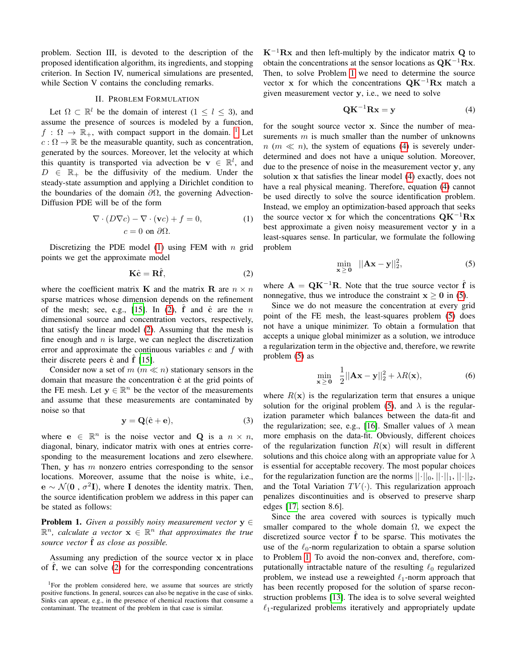problem. Section III, is devoted to the description of the proposed identification algorithm, its ingredients, and stopping criterion. In Section IV, numerical simulations are presented, while Section V contains the concluding remarks.

## II. PROBLEM FORMULATION

Let  $\Omega \subset \mathbb{R}^l$  be the domain of interest  $(1 \leq l \leq 3)$ , and assume the presence of sources is modeled by a function,  $f : \Omega \to \mathbb{R}_+$ , with compact support in the domain. <sup>[1](#page-1-0)</sup> Let  $c : \Omega \to \mathbb{R}$  be the measurable quantity, such as concentration, generated by the sources. Moreover, let the velocity at which this quantity is transported via advection be  $\mathbf{v} \in \mathbb{R}^l$ , and  $D \in \mathbb{R}_+$  be the diffusivity of the medium. Under the steady-state assumption and applying a Dirichlet condition to the boundaries of the domain  $\partial\Omega$ , the governing Advection-Diffusion PDE will be of the form

$$
\nabla \cdot (D\nabla c) - \nabla \cdot (\mathbf{v}c) + f = 0,
$$
  
\n
$$
c = 0 \text{ on } \partial \Omega.
$$
 (1)

Discretizing the PDE model [\(1\)](#page-1-1) using FEM with  $n$  grid points we get the approximate model

<span id="page-1-2"></span>
$$
\mathbf{K}\hat{\mathbf{c}} = \mathbf{R}\hat{\mathbf{f}},\tag{2}
$$

where the coefficient matrix **K** and the matrix **R** are  $n \times n$ sparse matrices whose dimension depends on the refinement of the mesh; see, e.g., [\[15\]](#page-5-14). In [\(2\)](#page-1-2),  $\hat{f}$  and  $\hat{c}$  are the n dimensional source and concentration vectors, respectively, that satisfy the linear model [\(2\)](#page-1-2). Assuming that the mesh is fine enough and  $n$  is large, we can neglect the discretization error and approximate the continuous variables  $c$  and  $f$  with their discrete peers  $\hat{c}$  and  $\bf{f}$  [\[15\]](#page-5-14).

Consider now a set of  $m \ll n$ ) stationary sensors in the domain that measure the concentration  $\hat{c}$  at the grid points of the FE mesh. Let  $y \in \mathbb{R}^n$  be the vector of the measurements and assume that these measurements are contaminated by noise so that

<span id="page-1-7"></span>
$$
y = Q(\hat{c} + e), \tag{3}
$$

where  $e \in \mathbb{R}^n$  is the noise vector and **Q** is a  $n \times n$ , diagonal, binary, indicator matrix with ones at entries corresponding to the measurement locations and zero elsewhere. Then, y has  $m$  nonzero entries corresponding to the sensor locations. Moreover, assume that the noise is white, i.e.,  $e \sim \mathcal{N}(0, \sigma^2 I)$ , where I denotes the identity matrix. Then, the source identification problem we address in this paper can be stated as follows:

<span id="page-1-3"></span>Problem 1. *Given a possibly noisy measurement vector* y ∈  $\mathbb{R}^n$ , calculate a vector  $\mathbf{x} \in \mathbb{R}^n$  that approximates the true *source vector* ˆf *as close as possible.*

Assuming any prediction of the source vector x in place of  $f$ , we can solve  $(2)$  for the corresponding concentrations  $K^{-1}Rx$  and then left-multiply by the indicator matrix Q to obtain the concentrations at the sensor locations as  $\mathbf{Q}\mathbf{K}^{-1}\mathbf{R}\mathbf{x}$ . Then, to solve Problem [1](#page-1-3) we need to determine the source vector x for which the concentrations  $QK^{-1}Rx$  match a given measurement vector y, i.e., we need to solve

<span id="page-1-4"></span>
$$
QK^{-1}Rx = y \tag{4}
$$

for the sought source vector x. Since the number of measurements  $m$  is much smaller than the number of unknowns  $n \ (m \ll n)$ , the system of equations [\(4\)](#page-1-4) is severely underdetermined and does not have a unique solution. Moreover, due to the presence of noise in the measurement vector y, any solution x that satisfies the linear model [\(4\)](#page-1-4) exactly, does not have a real physical meaning. Therefore, equation [\(4\)](#page-1-4) cannot be used directly to solve the source identification problem. Instead, we employ an optimization-based approach that seeks the source vector x for which the concentrations  $QK^{-1}Rx$ best approximate a given noisy measurement vector y in a least-squares sense. In particular, we formulate the following problem

<span id="page-1-5"></span>
$$
\min_{\mathbf{x} \ge \mathbf{0}} \ \|\mathbf{A}\mathbf{x} - \mathbf{y}\|_2^2,\tag{5}
$$

<span id="page-1-1"></span>where  $A = QK^{-1}R$ . Note that the true source vector  $\hat{f}$  is nonnegative, thus we introduce the constraint  $x \ge 0$  in [\(5\)](#page-1-5).

Since we do not measure the concentration at every grid point of the FE mesh, the least-squares problem [\(5\)](#page-1-5) does not have a unique minimizer. To obtain a formulation that accepts a unique global minimizer as a solution, we introduce a regularization term in the objective and, therefore, we rewrite problem [\(5\)](#page-1-5) as

<span id="page-1-6"></span>
$$
\min_{\mathbf{x} \ge \mathbf{0}} \quad \frac{1}{2} ||\mathbf{A}\mathbf{x} - \mathbf{y}||_2^2 + \lambda R(\mathbf{x}),\tag{6}
$$

where  $R(x)$  is the regularization term that ensures a unique solution for the original problem [\(5\)](#page-1-5), and  $\lambda$  is the regularization parameter which balances between the data-fit and the regularization; see, e.g., [\[16\]](#page-5-15). Smaller values of  $\lambda$  mean more emphasis on the data-fit. Obviously, different choices of the regularization function  $R(x)$  will result in different solutions and this choice along with an appropriate value for  $\lambda$ is essential for acceptable recovery. The most popular choices for the regularization function are the norms  $||\cdot||_0$ ,  $||\cdot||_1$ ,  $||\cdot||_2$ , and the Total Variation  $TV(\cdot)$ . This regularization approach penalizes discontinuities and is observed to preserve sharp edges [\[17,](#page-5-16) section 8.6].

Since the area covered with sources is typically much smaller compared to the whole domain  $\Omega$ , we expect the discretized source vector  $\hat{f}$  to be sparse. This motivates the use of the  $\ell_0$ -norm regularization to obtain a sparse solution to Problem [1.](#page-1-3) To avoid the non-convex and, therefore, computationally intractable nature of the resulting  $\ell_0$  regularized problem, we instead use a reweighted  $\ell_1$ -norm approach that has been recently proposed for the solution of sparse reconstruction problems [\[13\]](#page-5-12). The idea is to solve several weighted  $\ell_1$ -regularized problems iteratively and appropriately update

<span id="page-1-0"></span><sup>&</sup>lt;sup>1</sup>For the problem considered here, we assume that sources are strictly positive functions. In general, sources can also be negative in the case of sinks. Sinks can appear, e.g., in the presence of chemical reactions that consume a contaminant. The treatment of the problem in that case is similar.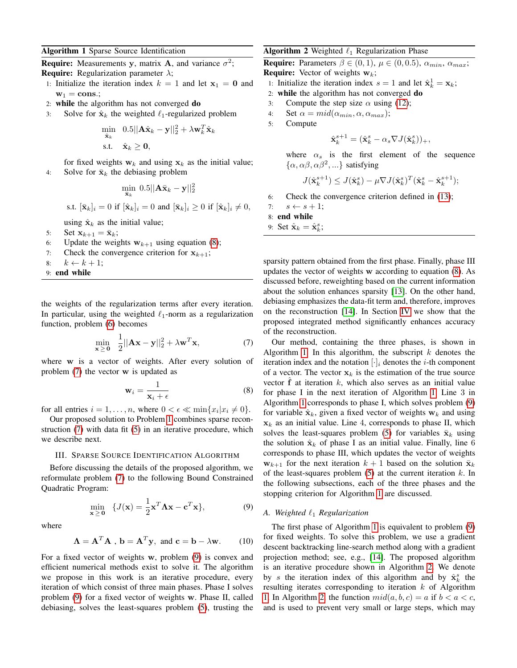## <span id="page-2-3"></span>Algorithm 1 Sparse Source Identification

**Require:** Measurements y, matrix A, and variance  $\sigma^2$ ; **Require:** Regularization parameter  $\lambda$ ;

- 1: Initialize the iteration index  $k = 1$  and let  $x_1 = 0$  and  $w_1 = \text{cons.};$
- 2: while the algorithm has not converged do
- 3: Solve for  $\hat{\mathbf{x}}_k$  the weighted  $\ell_1$ -regularized problem

$$
\min_{\hat{\mathbf{x}}_k} \quad 0.5||\mathbf{A}\hat{\mathbf{x}}_k - \mathbf{y}||_2^2 + \lambda \mathbf{w}_k^T \hat{\mathbf{x}}_k
$$
\ns.t.  $\hat{\mathbf{x}}_k \geq \mathbf{0}$ ,

for fixed weights  $w_k$  and using  $x_k$  as the initial value; 4: Solve for  $\bar{\mathbf{x}}_k$  the debiasing problem

 $\min_{\bar{\mathbf{x}}_k} \; 0.5||\mathbf{A}\bar{\mathbf{x}}_k - \mathbf{y}||_2^2$ 

s.t.  $[\bar{\mathbf{x}}_k]_i = 0$  if  $[\hat{\mathbf{x}}_k]_i = 0$  and  $[\bar{\mathbf{x}}_k]_i \ge 0$  if  $[\hat{\mathbf{x}}_k]_i \ne 0$ ,

using  $\hat{\mathbf{x}}_k$  as the initial value;

- 5: Set  $\mathbf{x}_{k+1} = \bar{\mathbf{x}}_k$ ;
- 6: Update the weights  $w_{k+1}$  using equation [\(8\)](#page-2-0);
- 7: Check the convergence criterion for  $x_{k+1}$ ;
- 8:  $k \leftarrow k + 1$ ;
- 9: end while

the weights of the regularization terms after every iteration. In particular, using the weighted  $\ell_1$ -norm as a regularization function, problem [\(6\)](#page-1-6) becomes

$$
\min_{\mathbf{x} \ge \mathbf{0}} \quad \frac{1}{2} ||\mathbf{A}\mathbf{x} - \mathbf{y}||_2^2 + \lambda \mathbf{w}^T \mathbf{x},\tag{7}
$$

where w is a vector of weights. After every solution of problem [\(7\)](#page-2-1) the vector w is updated as

<span id="page-2-0"></span>
$$
\mathbf{w}_i = \frac{1}{\mathbf{x}_i + \epsilon} \tag{8}
$$

for all entries  $i = 1, \ldots, n$ , where  $0 < \epsilon \ll \min\{x_i | x_i \neq 0\}$ .

Our proposed solution to Problem [1](#page-1-3) combines sparse reconstruction [\(7\)](#page-2-1) with data fit [\(5\)](#page-1-5) in an iterative procedure, which we describe next.

## <span id="page-2-6"></span>III. SPARSE SOURCE IDENTIFICATION ALGORITHM

Before discussing the details of the proposed algorithm, we reformulate problem [\(7\)](#page-2-1) to the following Bound Constrained Quadratic Program:

$$
\min_{\mathbf{x} \ge \mathbf{0}} \quad \{ J(\mathbf{x}) = \frac{1}{2} \mathbf{x}^T \mathbf{\Lambda} \mathbf{x} - \mathbf{c}^T \mathbf{x} \},\tag{9}
$$

where

<span id="page-2-5"></span>
$$
\mathbf{\Lambda} = \mathbf{A}^T \mathbf{A} \ , \ \mathbf{b} = \mathbf{A}^T \mathbf{y}, \ \text{and} \ \mathbf{c} = \mathbf{b} - \lambda \mathbf{w}. \tag{10}
$$

For a fixed vector of weights w, problem [\(9\)](#page-2-2) is convex and efficient numerical methods exist to solve it. The algorithm we propose in this work is an iterative procedure, every iteration of which consist of three main phases. Phase I solves problem [\(9\)](#page-2-2) for a fixed vector of weights w. Phase II, called debiasing, solves the least-squares problem [\(5\)](#page-1-5), trusting the

# <span id="page-2-4"></span>Algorithm 2 Weighted  $\ell_1$  Regularization Phase

**Require:** Parameters  $\beta \in (0, 1)$ ,  $\mu \in (0, 0.5)$ ,  $\alpha_{min}$ ,  $\alpha_{max}$ ; **Require:** Vector of weights  $w_k$ ;

- 1: Initialize the iteration index  $s = 1$  and let  $\hat{\mathbf{x}}_k^1 = \mathbf{x}_k$ ;
- 2: while the algorithm has not converged do
- 3: Compute the step size  $\alpha$  using [\(12\)](#page-3-0);
- 4: Set  $\alpha = mid(\alpha_{min}, \alpha, \alpha_{max});$
- 5: Compute

$$
\hat{\mathbf{x}}_k^{s+1} = (\hat{\mathbf{x}}_k^s - \alpha_s \nabla J(\hat{\mathbf{x}}_k^s))_+,
$$

where  $\alpha_s$  is the first element of the sequence  $\{\alpha, \alpha\beta, \alpha\beta^2, ...\}$  satisfying

$$
J(\hat{\mathbf{x}}_k^{s+1}) \leq J(\hat{\mathbf{x}}_k^s) - \mu \nabla J(\hat{\mathbf{x}}_k^s)^T (\hat{\mathbf{x}}_k^s - \hat{\mathbf{x}}_k^{s+1});
$$

6: Check the convergence criterion defined in [\(13\)](#page-3-1);

7:  $s \leftarrow s + 1$ ;

8: end while

9: Set  $\hat{\mathbf{x}}_k = \hat{\mathbf{x}}_k^s$ ;

sparsity pattern obtained from the first phase. Finally, phase III updates the vector of weights w according to equation [\(8\)](#page-2-0). As discussed before, reweighting based on the current information about the solution enhances sparsity [\[13\]](#page-5-12). On the other hand, debiasing emphasizes the data-fit term and, therefore, improves on the reconstruction [\[14\]](#page-5-13). In Section [IV](#page-4-0) we show that the proposed integrated method significantly enhances accuracy of the reconstruction.

<span id="page-2-1"></span>Our method, containing the three phases, is shown in Algorithm [1.](#page-2-3) In this algorithm, the subscript  $k$  denotes the iteration index and the notation  $[\cdot]_i$  denotes the *i*-th component of a vector. The vector  $x_k$  is the estimation of the true source vector  $f$  at iteration  $k$ , which also serves as an initial value for phase I in the next iteration of Algorithm [1.](#page-2-3) Line 3 in Algorithm [1](#page-2-3) corresponds to phase I, which solves problem [\(9\)](#page-2-2) for variable  $\hat{\mathbf{x}}_k$ , given a fixed vector of weights  $\mathbf{w}_k$  and using  $x_k$  as an initial value. Line 4, corresponds to phase II, which solves the least-squares problem [\(5\)](#page-1-5) for variables  $\bar{\mathbf{x}}_k$  using the solution  $\hat{\mathbf{x}}_k$  of phase I as an initial value. Finally, line 6 corresponds to phase III, which updates the vector of weights  $\mathbf{w}_{k+1}$  for the next iteration  $k+1$  based on the solution  $\bar{\mathbf{x}}_k$ of the least-squares problem  $(5)$  at the current iteration  $k$ . In the following subsections, each of the three phases and the stopping criterion for Algorithm [1](#page-2-3) are discussed.

### <span id="page-2-2"></span>*A. Weighted*  $\ell_1$  *Regularization*

The first phase of Algorithm [1](#page-2-3) is equivalent to problem [\(9\)](#page-2-2) for fixed weights. To solve this problem, we use a gradient descent backtracking line-search method along with a gradient projection method; see, e.g., [\[14\]](#page-5-13). The proposed algorithm is an iterative procedure shown in Algorithm [2.](#page-2-4) We denote by s the iteration index of this algorithm and by  $\hat{\mathbf{x}}_k^s$  the resulting iterates corresponding to iteration  $k$  of Algorithm [1.](#page-2-3) In Algorithm [2,](#page-2-4) the function  $mid(a, b, c) = a$  if  $b < a < c$ , and is used to prevent very small or large steps, which may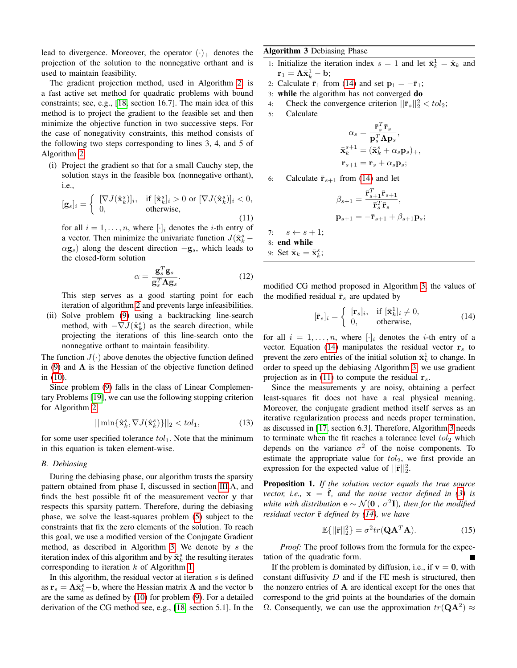lead to divergence. Moreover, the operator  $(\cdot)_+$  denotes the projection of the solution to the nonnegative orthant and is used to maintain feasibility.

The gradient projection method, used in Algorithm [2,](#page-2-4) is a fast active set method for quadratic problems with bound constraints; see, e.g., [\[18,](#page-5-17) section 16.7]. The main idea of this method is to project the gradient to the feasible set and then minimize the objective function in two successive steps. For the case of nonegativity constraints, this method consists of the following two steps corresponding to lines 3, 4, and 5 of Algorithm [2:](#page-2-4)

(i) Project the gradient so that for a small Cauchy step, the solution stays in the feasible box (nonnegative orthant), i.e.,

<span id="page-3-4"></span>
$$
[\mathbf{g}_s]_i = \begin{cases} [\nabla J(\hat{\mathbf{x}}_k^s)]_i, & \text{if } [\hat{\mathbf{x}}_k^s]_i > 0 \text{ or } [\nabla J(\hat{\mathbf{x}}_k^s)]_i < 0, \\ 0, & \text{otherwise,} \end{cases}
$$
(11)

for all  $i = 1, \ldots, n$ , where  $[\cdot]_i$  denotes the *i*-th entry of a vector. Then minimize the univariate function  $J(\hat{\mathbf{x}}_k^s - \hat{\mathbf{z}}_k)$  $\alpha$ g<sub>s</sub>) along the descent direction  $-g_s$ , which leads to the closed-form solution

<span id="page-3-0"></span>
$$
\alpha = \frac{\mathbf{g}_s^T \mathbf{g}_s}{\mathbf{g}_s^T \mathbf{\Lambda} \mathbf{g}_s}.\tag{12}
$$

This step serves as a good starting point for each iteration of algorithm [2](#page-2-4) and prevents large infeasibilities.

(ii) Solve problem [\(9\)](#page-2-2) using a backtracking line-search method, with  $-\nabla J(\hat{\mathbf{x}}_k^s)$  as the search direction, while projecting the iterations of this line-search onto the nonnegative orthant to maintain feasibility.

The function  $J(\cdot)$  above denotes the objective function defined in [\(9\)](#page-2-2) and  $\Lambda$  is the Hessian of the objective function defined in [\(10\)](#page-2-5).

Since problem [\(9\)](#page-2-2) falls in the class of Linear Complementary Problems [\[19\]](#page-5-18), we can use the following stopping criterion for Algorithm [2](#page-2-4)

<span id="page-3-1"></span>
$$
\|\min\{\hat{\mathbf{x}}_k^s, \nabla J(\hat{\mathbf{x}}_k^s)\}\|_2 < tol_1,\tag{13}
$$

for some user specified tolerance  $tol_1$ . Note that the minimum in this equation is taken element-wise.

## *B. Debiasing*

During the debiasing phase, our algorithm trusts the sparsity pattern obtained from phase I, discussed in section [III.](#page-2-6)A, and finds the best possible fit of the measurement vector y that respects this sparsity pattern. Therefore, during the debiasing phase, we solve the least-squares problem [\(5\)](#page-1-5) subject to the constraints that fix the zero elements of the solution. To reach this goal, we use a modified version of the Conjugate Gradient method, as described in Algorithm [3.](#page-3-2) We denote by s the iteration index of this algorithm and by  $\bar{\mathbf{x}}_k^s$  the resulting iterates corresponding to iteration  $k$  of Algorithm [1.](#page-2-3)

In this algorithm, the residual vector at iteration  $s$  is defined as  $\mathbf{r}_s = \mathbf{\Lambda} \bar{\mathbf{x}}_k^s - \mathbf{b}$ , where the Hessian matrix  $\mathbf{\Lambda}$  and the vector  $\mathbf{b}$ are the same as defined by [\(10\)](#page-2-5) for problem [\(9\)](#page-2-2). For a detailed derivation of the CG method see, e.g., [\[18,](#page-5-17) section 5.1]. In the

# <span id="page-3-2"></span>Algorithm 3 Debiasing Phase

- 1: Initialize the iteration index  $s = 1$  and let  $\bar{\mathbf{x}}_k^1 = \hat{\mathbf{x}}_k$  and  ${\bf r}_1 = {\bf \Lambda} \bar{{\bf x}}_k^1 - {\bf b};$
- 2: Calculate  $\bar{r}_1$  from [\(14\)](#page-3-3) and set  $p_1 = -\bar{r}_1$ ;
- 3: while the algorithm has not converged do
- 4: Check the convergence criterion  $\|\bar{\mathbf{r}}_s\|_2^2 < tol_2$ ;
- 5: Calculate

$$
\alpha_s = \frac{\bar{\mathbf{r}}_s^T \bar{\mathbf{r}}_s}{\mathbf{p}_s^T \mathbf{\Lambda} \mathbf{p}_s},
$$

$$
\bar{\mathbf{x}}_k^{s+1} = (\bar{\mathbf{x}}_k^s + \alpha_s \mathbf{p}_s)_+,
$$

$$
\mathbf{r}_{s+1} = \mathbf{r}_s + \alpha_s \mathbf{p}_s;
$$

6: Calculate  $\bar{\mathbf{r}}_{s+1}$  from [\(14\)](#page-3-3) and let

$$
\beta_{s+1} = \frac{\bar{\mathbf{r}}_{s+1}^T \bar{\mathbf{r}}_{s+1}}{\bar{\mathbf{r}}_s^T \bar{\mathbf{r}}_s},
$$
  

$$
\mathbf{p}_{s+1} = -\bar{\mathbf{r}}_{s+1} + \beta_{s+1} \mathbf{p}_s;
$$

7:  $s \leftarrow s + 1;$ 

8: end while

9: Set  $\bar{\mathbf{x}}_k = \bar{\mathbf{x}}_k^s$ ;

modified CG method proposed in Algorithm [3,](#page-3-2) the values of the modified residual  $\bar{r}_s$  are updated by

<span id="page-3-3"></span>
$$
[\bar{\mathbf{r}}_s]_i = \begin{cases} [\mathbf{r}_s]_i, & \text{if } [\bar{\mathbf{x}}_k^1]_i \neq 0, \\ 0, & \text{otherwise,} \end{cases}
$$
(14)

for all  $i = 1, \ldots, n$ , where  $[\cdot]_i$  denotes the *i*-th entry of a vector. Equation [\(14\)](#page-3-3) manipulates the residual vector  $r_s$  to prevent the zero entries of the initial solution  $\bar{\mathbf{x}}_k^1$  to change. In order to speed up the debiasing Algorithm [3,](#page-3-2) we use gradient projection as in [\(11\)](#page-3-4) to compute the residual  $r_s$ .

Since the measurements y are noisy, obtaining a perfect least-squares fit does not have a real physical meaning. Moreover, the conjugate gradient method itself serves as an iterative regularization process and needs proper termination, as discussed in [\[17,](#page-5-16) section 6.3]. Therefore, Algorithm [3](#page-3-2) needs to terminate when the fit reaches a tolerance level  $tol_2$  which depends on the variance  $\sigma^2$  of the noise components. To estimate the appropriate value for  $tol_2$ , we first provide an expression for the expected value of  $\|\bar{\mathbf{r}}\|_2^2$ .

Proposition 1. *If the solution vector equals the true source vector, i.e.,*  $x = f$ *, and the noise vector defined in [\(3\)](#page-1-7) is*  $$ *residual vector*  $\bar{r}$  *defined by [\(14\)](#page-3-3), we have* 

$$
\mathbb{E}\{||\bar{\mathbf{r}}||_2^2\} = \sigma^2 tr(\mathbf{Q}\mathbf{A}^T \mathbf{A}).
$$
 (15)

*Proof:* The proof follows from the formula for the expectation of the quadratic form.

If the problem is dominated by diffusion, i.e., if  $v = 0$ , with constant diffusivity  $D$  and if the FE mesh is structured, then the nonzero entries of A are identical except for the ones that correspond to the grid points at the boundaries of the domain Ω. Consequently, we can use the approximation  $tr(QA^2) \approx$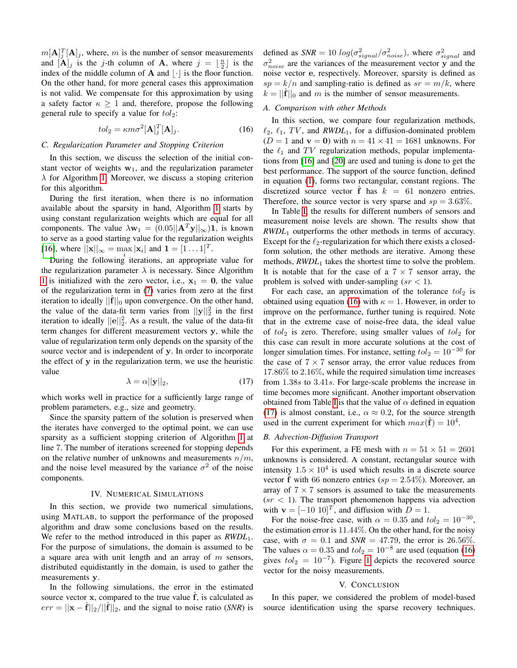$m[\mathbf{A}]_j^T[\mathbf{A}]_j$ , where, m is the number of sensor measurements and  $[\mathbf{A}]_j$  is the j-th column of **A**, where  $j = \lfloor \frac{n}{2} \rfloor$  is the index of the middle column of **A** and  $\lvert \cdot \rvert$  is the floor function. On the other hand, for more general cases this approximation is not valid. We compensate for this approximation by using a safety factor  $\kappa \geq 1$  and, therefore, propose the following general rule to specify a value for  $tol_2$ :

<span id="page-4-1"></span>
$$
tol_2 = \kappa m \sigma^2 [\mathbf{A}]_j^T [\mathbf{A}]_j. \tag{16}
$$

# *C. Regularization Parameter and Stopping Criterion*

In this section, we discuss the selection of the initial constant vector of weights  $w_1$ , and the regularization parameter  $\lambda$  for Algorithm [1.](#page-2-3) Moreover, we discuss a stoping criterion for this algorithm.

During the first iteration, when there is no information available about the sparsity in hand, Algorithm [1](#page-2-3) starts by using constant regularization weights which are equal for all components. The value  $\lambda \mathbf{w}_1 = (0.05||\mathbf{A}^T \mathbf{y}||_{\infty})\mathbf{1}$ , is known to serve as a good starting value for the regularization weights [\[16\]](#page-5-15), where  $||\mathbf{x}||_{\infty} = \max |\mathbf{x}_i|$  and  $\mathbf{1} = [1 \dots 1]^T$ .

During the following iterations, an appropriate value for the regularization parameter  $\lambda$  is necessary. Since Algorithm [1](#page-2-3) is initialized with the zero vector, i.e.,  $x_1 = 0$ , the value of the regularization term in [\(7\)](#page-2-1) varies from zero at the first iteration to ideally  $||\mathbf{f}||_0$  upon convergence. On the other hand, the value of the data-fit term varies from  $||\mathbf{y}||_2^2$  in the first iteration to ideally  $||\mathbf{e}||_2^2$ . As a result, the value of the data-fit term changes for different measurement vectors y, while the value of regularization term only depends on the sparsity of the source vector and is independent of y. In order to incorporate the effect of y in the regularization term, we use the heuristic value

<span id="page-4-2"></span>
$$
\lambda = \alpha ||\mathbf{y}||_2,\tag{17}
$$

which works well in practice for a sufficiently large range of problem parameters, e.g., size and geometry.

Since the sparsity pattern of the solution is preserved when the iterates have converged to the optimal point, we can use sparsity as a sufficient stopping criterion of Algorithm [1](#page-2-3) at line 7. The number of iterations screened for stopping depends on the relative number of unknowns and measurements  $n/m$ , and the noise level measured by the variance  $\sigma^2$  of the noise components.

#### IV. NUMERICAL SIMULATIONS

<span id="page-4-0"></span>In this section, we provide two numerical simulations, using MATLAB, to support the performance of the proposed algorithm and draw some conclusions based on the results. We refer to the method introduced in this paper as  $RWDL_1$ . For the purpose of simulations, the domain is assumed to be a square area with unit length and an array of  $m$  sensors, distributed equidistantly in the domain, is used to gather the measurements y.

In the following simulations, the error in the estimated source vector  $x$ , compared to the true value  $f$ , is calculated as  $err = ||\mathbf{x} - \mathbf{f}||_2 / ||\mathbf{f}||_2$ , and the signal to noise ratio (*SNR*) is

defined as  $SNR = 10 log(\sigma_{signal}^2/\sigma_{noise}^2)$ , where  $\sigma_{signal}^2$  and  $\sigma_{noise}^2$  are the variances of the measurement vector y and the noise vector e, respectively. Moreover, sparsity is defined as  $sp = k/n$  and sampling-ratio is defined as  $sr = m/k$ , where  $k = ||\mathbf{f}||_0$  and m is the number of sensor measurements.

#### *A. Comparison with other Methods*

In this section, we compare four regularization methods,  $\ell_2$ ,  $\ell_1$ , TV, and *RWDL*<sub>1</sub>, for a diffusion-dominated problem  $(D = 1$  and  $\mathbf{v} = \mathbf{0}$ ) with  $n = 41 \times 41 = 1681$  unknowns. For the  $\ell_1$  and TV regularization methods, popular implementations from [\[16\]](#page-5-15) and [\[20\]](#page-5-19) are used and tuning is done to get the best performance. The support of the source function, defined in equation [\(1\)](#page-1-1), forms two rectangular, constant regions. The discretized source vector f has  $k = 61$  nonzero entries. Therefore, the source vector is very sparse and  $sp = 3.63\%$ .

In Table [I,](#page-5-20) the results for different numbers of sensors and measurement noise levels are shown. The results show that *RWDL*<sup>1</sup> outperforms the other methods in terms of accuracy. Except for the  $\ell_2$ -regularization for which there exists a closedform solution, the other methods are iterative. Among these methods,  $RWDL<sub>1</sub>$  takes the shortest time to solve the problem. It is notable that for the case of a  $7 \times 7$  sensor array, the problem is solved with under-sampling  $(sr < 1)$ .

For each case, an approximation of the tolerance  $tol_2$  is obtained using equation [\(16\)](#page-4-1) with  $\kappa = 1$ . However, in order to improve on the performance, further tuning is required. Note that in the extreme case of noise-free data, the ideal value of  $tol_2$  is zero. Therefore, using smaller values of  $tol_2$  for this case can result in more accurate solutions at the cost of longer simulation times. For instance, setting  $tol_2 = 10^{-30}$  for the case of  $7 \times 7$  sensor array, the error value reduces from 17.86% to 2.16%, while the required simulation time increases from 1.38s to 3.41s. For large-scale problems the increase in time becomes more significant. Another important observation obtained from Table [I](#page-5-20) is that the value of  $\alpha$  defined in equation [\(17\)](#page-4-2) is almost constant, i.e.,  $\alpha \approx 0.2$ , for the source strength used in the current experiment for which  $max(\hat{f}) = 10^4$ .

# *B. Advection-Diffusion Transport*

For this experiment, a FE mesh with  $n = 51 \times 51 = 2601$ unknowns is considered. A constant, rectangular source with intensity  $1.5 \times 10^4$  is used which results in a discrete source vector  $\hat{\mathbf{f}}$  with 66 nonzero entries (sp = 2.54%). Moreover, an array of  $7 \times 7$  sensors is assumed to take the measurements  $(sr < 1)$ . The transport phenomenon happens via advection with  $\mathbf{v} = [-10 \ 10]^T$ , and diffusion with  $D = 1$ .

For the noise-free case, with  $\alpha = 0.35$  and  $tol_2 = 10^{-30}$ , the estimation error is 11.44%. On the other hand, for the noisy case, with  $\sigma = 0.1$  and *SNR* = 47.79, the error is 26.56%. The values  $\alpha = 0.35$  and  $tol_2 = 10^{-8}$  are used (equation [\(16\)](#page-4-1) gives  $tol_2 = 10^{-7}$  $tol_2 = 10^{-7}$  $tol_2 = 10^{-7}$ ). Figure 1 depicts the recovered source vector for the noisy measurements.

### V. CONCLUSION

In this paper, we considered the problem of model-based source identification using the sparse recovery techniques.